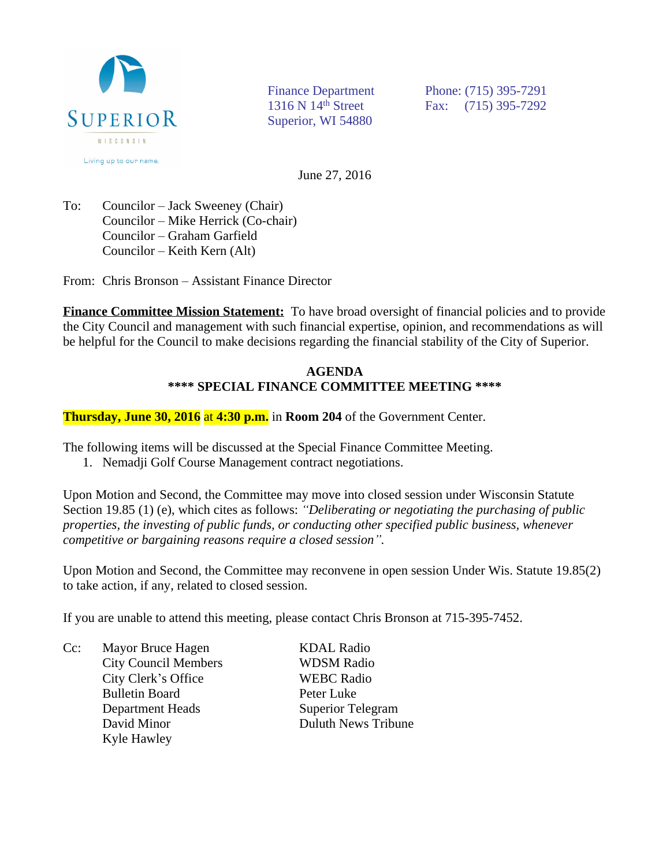

Superior, WI 54880

Finance Department Phone: (715) 395-7291 1316 N 14<sup>th</sup> Street Fax: (715) 395-7292

June 27, 2016

To: Councilor – Jack Sweeney (Chair) Councilor – Mike Herrick (Co-chair) Councilor – Graham Garfield Councilor – Keith Kern (Alt)

From: Chris Bronson – Assistant Finance Director

**Finance Committee Mission Statement:** To have broad oversight of financial policies and to provide the City Council and management with such financial expertise, opinion, and recommendations as will be helpful for the Council to make decisions regarding the financial stability of the City of Superior.

## **AGENDA \*\*\*\* SPECIAL FINANCE COMMITTEE MEETING \*\*\*\***

**Thursday, June 30, 2016** at **4:30 p.m.** in **Room 204** of the Government Center.

The following items will be discussed at the Special Finance Committee Meeting.

1. Nemadji Golf Course Management contract negotiations.

Upon Motion and Second, the Committee may move into closed session under Wisconsin Statute Section 19.85 (1) (e), which cites as follows: *"Deliberating or negotiating the purchasing of public properties, the investing of public funds, or conducting other specified public business, whenever competitive or bargaining reasons require a closed session".*

Upon Motion and Second, the Committee may reconvene in open session Under Wis. Statute 19.85(2) to take action, if any, related to closed session.

If you are unable to attend this meeting, please contact Chris Bronson at 715-395-7452.

Cc: Mayor Bruce Hagen KDAL Radio City Council Members WDSM Radio City Clerk's Office WEBC Radio Bulletin Board Peter Luke Department Heads Superior Telegram David Minor **Duluth News Tribune** Kyle Hawley